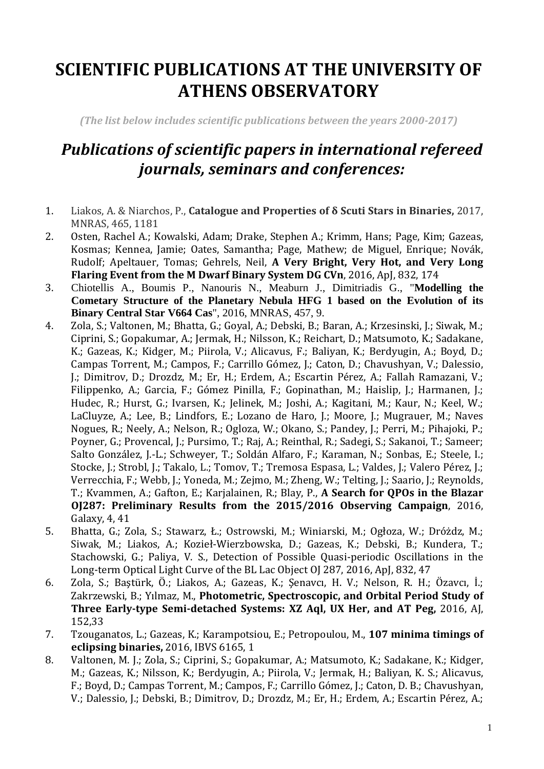## **SCIENTIFIC PUBLICATIONS AT THE UNIVERSITY OF ATHENS OBSERVATORY**

*(The list below includes scientific publications between the years 2000-2017)*

## *Publications of scientific papers in international refereed journals, seminars and conferences:*

- 1. Liakos, A. & Niarchos, P., **Catalogue and Properties of δ Scuti Stars in Binaries,** 2017, MNRAS, 465, 1181
- 2. Osten, Rachel A.; Kowalski, Adam; Drake, Stephen A.; Krimm, Hans; Page, Kim; Gazeas, Kosmas; Kennea, Jamie; Oates, Samantha; Page, Mathew; de Miguel, Enrique; Novák, Rudolf; Apeltauer, Tomas; Gehrels, Neil, **A Very Bright, Very Hot, and Very Long Flaring Event from the M Dwarf Binary System DG CVn**, 2016, ApJ, 832, 174
- 3. Chiotellis A., Boumis P., Nanouris N., Meaburn J., Dimitriadis G., "**Modelling the Cometary Structure of the Planetary Nebula HFG 1 based on the Evolution of its Binary Central Star V664 Cas**", 2016, MNRAS, 457, 9.
- 4. Zola, S.; Valtonen, M.; Bhatta, G.; Goyal, A.; Debski, B.; Baran, A.; Krzesinski, J.; Siwak, M.; Ciprini, S.; Gopakumar, A.; Jermak, H.; Nilsson, K.; Reichart, D.; Matsumoto, K.; Sadakane, K.; Gazeas, K.; Kidger, M.; Piirola, V.; Alicavus, F.; Baliyan, K.; Berdyugin, A.; Boyd, D.; Campas Torrent, M.; Campos, F.; Carrillo Gómez, J.; Caton, D.; Chavushyan, V.; Dalessio, J.; Dimitrov, D.; Drozdz, M.; Er, H.; Erdem, A.; Escartin Pérez, A.; Fallah Ramazani, V.; Filippenko, A.; Garcia, F.; Gómez Pinilla, F.; Gopinathan, M.; Haislip, J.; Harmanen, J.; Hudec, R.; Hurst, G.; Ivarsen, K.; Jelinek, M.; Joshi, A.; Kagitani, M.; Kaur, N.; Keel, W.; LaCluyze, A.; Lee, B.; Lindfors, E.; Lozano de Haro, J.; Moore, J.; Mugrauer, M.; Naves Nogues, R.; Neely, A.; Nelson, R.; Ogloza, W.; Okano, S.; Pandey, J.; Perri, M.; Pihajoki, P.; Poyner, G.; Provencal, J.; Pursimo, T.; Raj, A.; Reinthal, R.; Sadegi, S.; Sakanoi, T.; Sameer; Salto González, J.-L.; Schweyer, T.; Soldán Alfaro, F.; Karaman, N.; Sonbas, E.; Steele, I.; Stocke, J.; Strobl, J.; Takalo, L.; Tomov, T.; Tremosa Espasa, L.; Valdes, J.; Valero Pérez, J.; Verrecchia, F.; Webb, J.; Yoneda, M.; Zejmo, M.; Zheng, W.; Telting, J.; Saario, J.; Reynolds, T.; Kvammen, A.; Gafton, E.; Karjalainen, R.; Blay, P., **A Search for QPOs in the Blazar OJ287: Preliminary Results from the 2015/2016 Observing Campaign**, 2016, Galaxy, 4, 41
- 5. Bhatta, G.; Zola, S.; Stawarz, Ł.; Ostrowski, M.; Winiarski, M.; Ogłoza, W.; Dróżdz, M.; Siwak, M.; Liakos, A.; Kozieł-Wierzbowska, D.; Gazeas, K.; Debski, B.; Kundera, T.; Stachowski, G.; Paliya, V. S., Detection of Possible Quasi-periodic Oscillations in the Long-term Optical Light Curve of the BL Lac Object OJ 287, 2016, ApJ, 832, 47
- 6. Zola, S.; Baştürk, Ö.; Liakos, A.; Gazeas, K.; Şenavcı, H. V.; Nelson, R. H.; Özavcı, İ.; Zakrzewski, B.; Yılmaz, M., **Photometric, Spectroscopic, and Orbital Period Study of Three Early-type Semi-detached Systems: XZ Aql, UX Her, and AT Peg,** 2016, AJ, 152,33
- 7. Tzouganatos, L.; Gazeas, K.; Karampotsiou, E.; Petropoulou, M., **107 minima timings of eclipsing binaries,** 2016, IBVS 6165, 1
- 8. Valtonen, M. J.; Zola, S.; Ciprini, S.; Gopakumar, A.; Matsumoto, K.; Sadakane, K.; Kidger, M.; Gazeas, K.; Nilsson, K.; Berdyugin, A.; Piirola, V.; Jermak, H.; Baliyan, K. S.; Alicavus, F.; Boyd, D.; Campas Torrent, M.; Campos, F.; Carrillo Gómez, J.; Caton, D. B.; Chavushyan, V.; Dalessio, J.; Debski, B.; Dimitrov, D.; Drozdz, M.; Er, H.; Erdem, A.; Escartin Pérez, A.;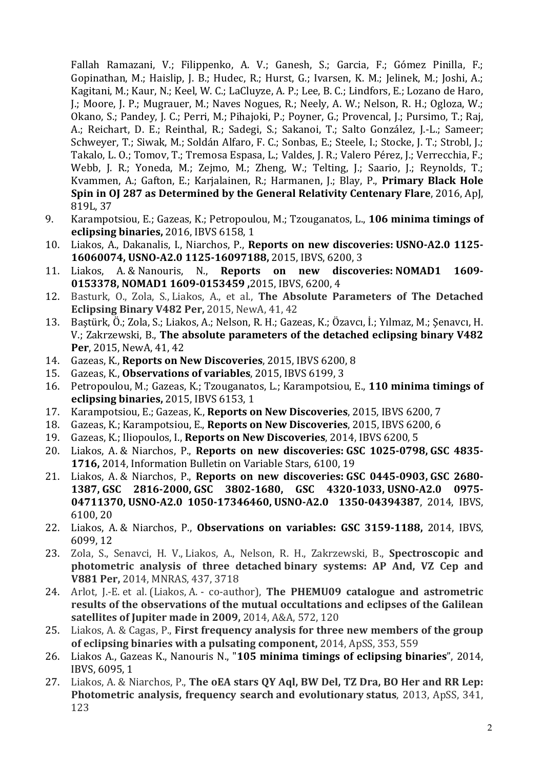Fallah Ramazani, V.; Filippenko, A. V.; Ganesh, S.; Garcia, F.; Gómez Pinilla, F.; Gopinathan, M.; Haislip, J. B.; Hudec, R.; Hurst, G.; Ivarsen, K. M.; Jelinek, M.; Joshi, A.; Kagitani, M.; Kaur, N.; Keel, W. C.; LaCluyze, A. P.; Lee, B. C.; Lindfors, E.; Lozano de Haro, J.; Moore, J. P.; Mugrauer, M.; Naves Nogues, R.; Neely, A. W.; Nelson, R. H.; Ogloza, W.; Okano, S.; Pandey, J. C.; Perri, M.; Pihajoki, P.; Poyner, G.; Provencal, J.; Pursimo, T.; Raj, A.; Reichart, D. E.; Reinthal, R.; Sadegi, S.; Sakanoi, T.; Salto González, J.-L.; Sameer; Schweyer, T.; Siwak, M.; Soldán Alfaro, F. C.; Sonbas, E.; Steele, I.; Stocke, J. T.; Strobl, J.; Takalo, L. O.; Tomov, T.; Tremosa Espasa, L.; Valdes, J. R.; Valero Pérez, J.; Verrecchia, F.; Webb, J. R.; Yoneda, M.; Zejmo, M.; Zheng, W.; Telting, J.; Saario, J.; Reynolds, T.; Kvammen, A.; Gafton, E.; Karjalainen, R.; Harmanen, J.; Blay, P., **Primary Black Hole Spin in OJ 287 as Determined by the General Relativity Centenary Flare**, 2016, ApJ, 819L, 37

- 9. Karampotsiou, E.; Gazeas, K.; Petropoulou, M.; Tzouganatos, L., **106 minima timings of eclipsing binaries,** 2016, IBVS 6158, 1
- 10. Liakos, A., Dakanalis, I., Niarchos, P., **Reports on new discoveries: USNO-A2.0 1125- 16060074, USNO-A2.0 1125-16097188,** 2015, IBVS, 6200, 3
- 11. Liakos, A. & Nanouris, N., **Reports on new discoveries: NOMAD1 1609- 0153378, NOMAD1 1609-0153459 ,**2015, IBVS, 6200, 4
- 12. Basturk, O., Zola, S., Liakos, A., et al., **The Absolute Parameters of The Detached Eclipsing Binary V482 Per,** 2015, NewA, 41, 42
- 13. Baştürk, Ö.; Zola, S.; Liakos, A.; Nelson, R. H.; Gazeas, K.; Özavcı, İ.; Yılmaz, M.; Şenavcı, H. V.; Zakrzewski, B., **The absolute parameters of the detached eclipsing binary V482 Per**, 2015, NewA, 41, 42
- 14. Gazeas, K., **Reports on New Discoveries**, 2015, IBVS 6200, 8
- 15. Gazeas, K., **Observations of variables**, 2015, IBVS 6199, 3
- 16. Petropoulou, M.; Gazeas, K.; Tzouganatos, L.; Karampotsiou, E., **110 minima timings of eclipsing binaries,** 2015, IBVS 6153, 1
- 17. Karampotsiou, E.; Gazeas, K., **Reports on New Discoveries**, 2015, IBVS 6200, 7
- 18. Gazeas, K.; Karampotsiou, E., **Reports on New Discoveries**, 2015, IBVS 6200, 6
- 19. Gazeas, K.; Iliopoulos, I., **Reports on New Discoveries**, 2014, IBVS 6200, 5
- 20. Liakos, A. & Niarchos, P., **Reports on new discoveries: GSC 1025-0798, GSC 4835- 1716,** 2014, Information Bulletin on Variable Stars, 6100, 19
- 21. Liakos, A. & Niarchos, P., **Reports on new discoveries: GSC 0445-0903, GSC 2680- 1387, GSC 2816-2000, GSC 3802-1680, GSC 4320-1033, USNO-A2.0 0975- 04711370, USNO-A2.0 1050-17346460, USNO-A2.0 1350-04394387**, 2014, IBVS, 6100, 20
- 22. Liakos, A. & Niarchos, P., **Observations on variables: GSC 3159-1188,** 2014, IBVS, 6099, 12
- 23. Zola, S., Senavci, H. V., Liakos, A., Nelson, R. H., Zakrzewski, B., **Spectroscopic and photometric analysis of three detached binary systems: AP And, VZ Cep and V881 Per,** 2014, MNRAS, 437, 3718
- 24. Arlot, J.-E. et al. (Liakos, A. co-author), **The PHEMU09 catalogue and astrometric results of the observations of the mutual occultations and eclipses of the Galilean satellites of Jupiter made in 2009,** 2014, A&A, 572, 120
- 25. Liakos, A. & Cagas, P., **First frequency analysis for three new members of the group of eclipsing binaries with a pulsating component,** 2014, ApSS, 353, 559
- 26. Liakos A., Gazeas K., Nanouris N., "**105 minima timings of eclipsing binaries**", 2014, IBVS, 6095, 1
- 27. Liakos, A. & Niarchos, P., **The oEA stars QY Aql, BW Del, TZ Dra, BO Her and RR Lep: Photometric analysis, frequency search and evolutionary status**, 2013, ApSS, 341, 123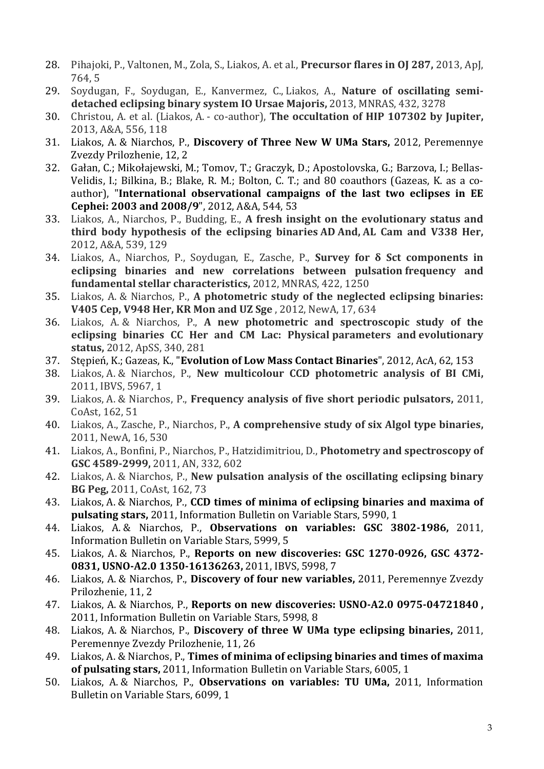- 28. Pihajoki, P., Valtonen, M., Zola, S., Liakos, A. et al., **Precursor flares in OJ 287,** 2013, ApJ, 764, 5
- 29. Soydugan, F., Soydugan, E., Kanvermez, C., Liakos, A., **Nature of oscillating semidetached eclipsing binary system IO Ursae Majoris,** 2013, MNRAS, 432, 3278
- 30. Christou, A. et al. (Liakos, A. co-author), **The occultation of HIP 107302 by Jupiter,** 2013, A&A, 556, 118
- 31. Liakos, A. & Niarchos, P., **Discovery of Three New W UMa Stars,** 2012, Peremennye Zvezdy Prilozhenie, 12, 2
- 32. Gałan, C.; Mikołajewski, M.; Tomov, T.; Graczyk, D.; Apostolovska, G.; Barzova, I.; Bellas-Velidis, I.; Bilkina, B.; Blake, R. M.; Bolton, C. T.; and 80 coauthors (Gazeas, K. as a coauthor), "**International observational campaigns of the last two eclipses in EE Cephei: 2003 and 2008/9**", 2012, A&A, 544, 53
- 33. Liakos, A., Niarchos, P., Budding, E., **A fresh insight on the evolutionary status and third body hypothesis of the eclipsing binaries AD And, AL Cam and V338 Her,** 2012, A&A, 539, 129
- 34. Liakos, A., Niarchos, P., Soydugan, E., Zasche, P., **Survey for δ Sct components in eclipsing binaries and new correlations between pulsation frequency and fundamental stellar characteristics,** 2012, MNRAS, 422, 1250
- 35. Liakos, A. & Niarchos, P., **A photometric study of the neglected eclipsing binaries: V405 Cep, V948 Her, KR Mon and UZ Sge** , 2012, NewA, 17, 634
- 36. Liakos, A. & Niarchos, P., **A new photometric and spectroscopic study of the eclipsing binaries CC Her and CM Lac: Physical parameters and evolutionary status,** 2012, ApSS, 340, 281
- 37. Stępień, K.; Gazeas, K., "**Evolution of Low Mass Contact Binaries**", 2012, AcA, 62, 153
- 38. Liakos, A. & Niarchos, P., **New multicolour CCD photometric analysis of BI CMi,** 2011, IBVS, 5967, 1
- 39. Liakos, A. & Niarchos, P., **Frequency analysis of five short periodic pulsators,** 2011, CoAst, 162, 51
- 40. Liakos, A., Zasche, P., Niarchos, P., **A comprehensive study of six Algol type binaries,** 2011, NewA, 16, 530
- 41. Liakos, A., Bonfini, P., Niarchos, P., Hatzidimitriou, D., **Photometry and spectroscopy of GSC 4589-2999,** 2011, AN, 332, 602
- 42. Liakos, A. & Niarchos, P., **New pulsation analysis of the oscillating eclipsing binary BG Peg,** 2011, CoAst, 162, 73
- 43. Liakos, A. & Niarchos, P., **CCD times of minima of eclipsing binaries and maxima of pulsating stars,** 2011, Information Bulletin on Variable Stars, 5990, 1
- 44. Liakos, A. & Niarchos, P., **Observations on variables: GSC 3802-1986,** 2011, Information Bulletin on Variable Stars, 5999, 5
- 45. Liakos, A. & Niarchos, P., **Reports on new discoveries: GSC 1270-0926, GSC 4372- 0831, USNO-A2.0 1350-16136263,** 2011, IBVS, 5998, 7
- 46. Liakos, A. & Niarchos, P., **Discovery of four new variables,** 2011, Peremennye Zvezdy Prilozhenie, 11, 2
- 47. Liakos, A. & Niarchos, P., **Reports on new discoveries: USNO-A2.0 0975-04721840 ,** 2011, Information Bulletin on Variable Stars, 5998, 8
- 48. Liakos, A. & Niarchos, P., **Discovery of three W UMa type eclipsing binaries,** 2011, Peremennye Zvezdy Prilozhenie, 11, 26
- 49. Liakos, A. & Niarchos, P., **Times of minima of eclipsing binaries and times of maxima of pulsating stars,** 2011, Information Bulletin on Variable Stars, 6005, 1
- 50. Liakos, A. & Niarchos, P., **Observations on variables: TU UMa,** 2011, Information Bulletin on Variable Stars, 6099, 1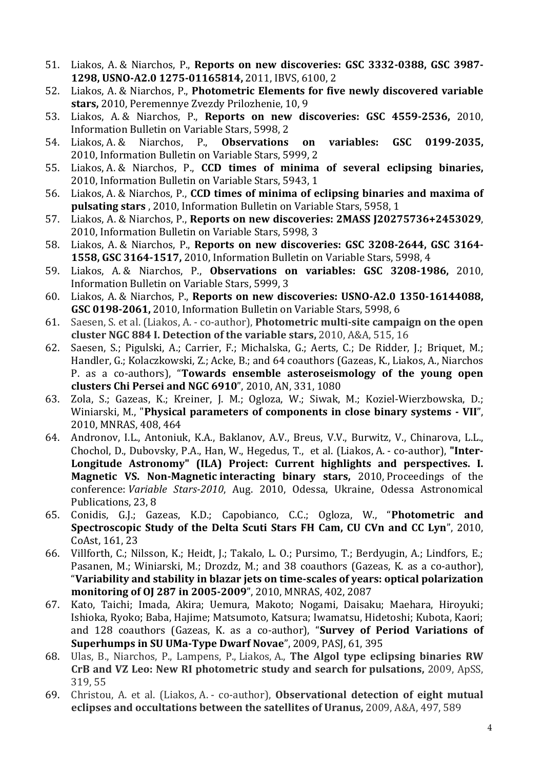- 51. Liakos, A. & Niarchos, P., **Reports on new discoveries: GSC 3332-0388, GSC 3987- 1298, USNO-A2.0 1275-01165814,** 2011, IBVS, 6100, 2
- 52. Liakos, A. & Niarchos, P., **Photometric Elements for five newly discovered variable stars,** 2010, Peremennye Zvezdy Prilozhenie, 10, 9
- 53. Liakos, A. & Niarchos, P., **Reports on new discoveries: GSC 4559-2536,** 2010, Information Bulletin on Variable Stars, 5998, 2
- 54. Liakos, A. & Niarchos, P., **Observations on variables: GSC 0199-2035,**  2010, Information Bulletin on Variable Stars, 5999, 2
- 55. Liakos, A. & Niarchos, P., **CCD times of minima of several eclipsing binaries,**  2010, Information Bulletin on Variable Stars, 5943, 1
- 56. Liakos, A. & Niarchos, P., **CCD times of minima of eclipsing binaries and maxima of pulsating stars** , 2010, Information Bulletin on Variable Stars, 5958, 1
- 57. Liakos, A. & Niarchos, P., **Reports on new discoveries: 2MASS J20275736+2453029**, 2010, Information Bulletin on Variable Stars, 5998, 3
- 58. Liakos, A. & Niarchos, P., **Reports on new discoveries: GSC 3208-2644, GSC 3164- 1558, GSC 3164-1517,** 2010, Information Bulletin on Variable Stars, 5998, 4
- 59. Liakos, A. & Niarchos, P., **Observations on variables: GSC 3208-1986,** 2010, Information Bulletin on Variable Stars, 5999, 3
- 60. Liakos, A. & Niarchos, P., **Reports on new discoveries: USNO-A2.0 1350-16144088, GSC 0198-2061,** 2010, Information Bulletin on Variable Stars, 5998, 6
- 61. Saesen, S. et al. (Liakos, A. co-author), **Photometric multi-site campaign on the open cluster NGC 884 I. Detection of the variable stars,** 2010, A&A, 515, 16
- 62. Saesen, S.; Pigulski, A.; Carrier, F.; Michalska, G.; Aerts, C.; De Ridder, J.; Briquet, M.; Handler, G.; Kolaczkowski, Z.; Acke, B.; and 64 coauthors (Gazeas, K., Liakos, A., Niarchos P. as a co-authors), "**Towards ensemble asteroseismology of the young open clusters Chi Persei and NGC 6910**", 2010, AN, 331, 1080
- 63. Zola, S.; Gazeas, K.; Kreiner, J. M.; Ogloza, W.; Siwak, M.; Koziel-Wierzbowska, D.; Winiarski, M., "**Physical parameters of components in close binary systems - VII**", 2010, MNRAS, 408, 464
- 64. Andronov, I.L., Antoniuk, K.A., Baklanov, A.V., Breus, V.V., Burwitz, V., Chinarova, L.L., Chochol, D., Dubovsky, P.A., Han, W., Hegedus, T., et al. (Liakos, A. - co-author), **"Inter-Longitude Astronomy" (ILA) Project: Current highlights and perspectives. I. Magnetic VS. Non-Magnetic interacting binary stars,** 2010, Proceedings of the conference: *Variable Stars-2010*, Aug. 2010, Odessa, Ukraine, Odessa Astronomical Publications, 23, 8
- 65. Conidis, G.J.; Gazeas, K.D.; Capobianco, C.C.; Ogloza, W., "**Photometric and Spectroscopic Study of the Delta Scuti Stars FH Cam, CU CVn and CC Lyn**", 2010, CoAst, 161, 23
- 66. Villforth, C.; Nilsson, K.; Heidt, J.; Takalo, L. O.; Pursimo, T.; Berdyugin, A.; Lindfors, E.; Pasanen, M.; Winiarski, M.; Drozdz, M.; and 38 coauthors (Gazeas, K. as a co-author), "**Variability and stability in blazar jets on time-scales of years: optical polarization monitoring of OJ 287 in 2005-2009**", 2010, MNRAS, 402, 2087
- 67. Kato, Taichi; Imada, Akira; Uemura, Makoto; Nogami, Daisaku; Maehara, Hiroyuki; Ishioka, Ryoko; Baba, Hajime; Matsumoto, Katsura; Iwamatsu, Hidetoshi; Kubota, Kaori; and 128 coauthors (Gazeas, K. as a co-author), "**Survey of Period Variations of Superhumps in SU UMa-Type Dwarf Novae**", 2009, PASJ, 61, 395
- 68. Ulas, B., Niarchos, P., Lampens, P., Liakos, A., **The Algol type eclipsing binaries RW CrB and VZ Leo: New RI photometric study and search for pulsations,** 2009, ApSS, 319, 55
- 69. Christou, A. et al. (Liakos, A. co-author), **Observational detection of eight mutual eclipses and occultations between the satellites of Uranus,** 2009, A&A, 497, 589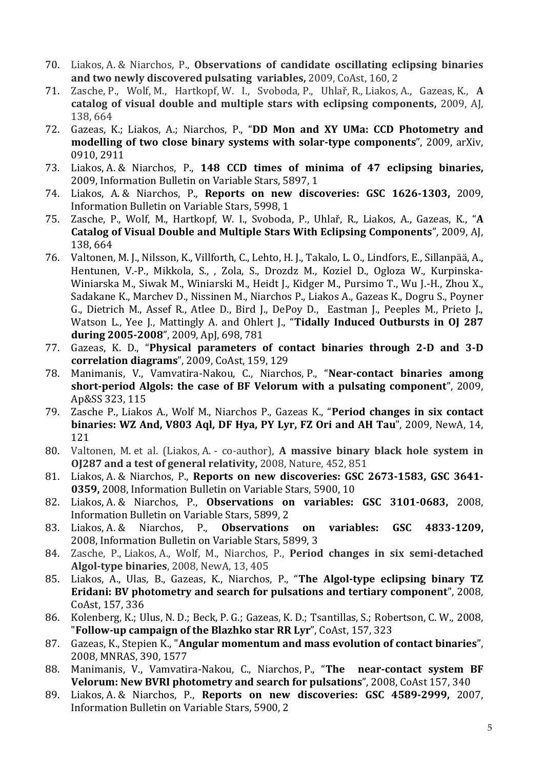- 70. Liakos, A. & Niarchos, P., **Observations of candidate oscillating eclipsing binaries and two newly discovered pulsating variables,** 2009, CoAst, 160, 2
- 71. Zasche, P., Wolf, M., Hartkopf, W. I., Svoboda, P., Uhlař, R., Liakos, A., Gazeas, K., **A catalog of visual double and multiple stars with eclipsing components,** 2009, AJ, 138, 664
- 72. Gazeas, K.; Liakos, A.; Niarchos, P., "**DD Mon and XY UMa: CCD Photometry and modelling of two close binary systems with solar-type components**", 2009, arXiv, 0910, 2911
- 73. Liakos, A. & Niarchos, P., **148 CCD times of minima of 47 eclipsing binaries,** 2009, Information Bulletin on Variable Stars, 5897, 1
- 74. Liakos, A. & Niarchos, P., **Reports on new discoveries: GSC 1626-1303,** 2009, Information Bulletin on Variable Stars, 5998, 1
- 75. Zasche, P., Wolf, M., Hartkopf, W. I., Svoboda, P., Uhlař, R., Liakos, A., Gazeas, K., "**A Catalog of Visual Double and Multiple Stars With Eclipsing Components**", 2009, AJ, 138, 664
- 76. Valtonen, M. J., Nilsson, K., Villforth, C., Lehto, H. J., Takalo, L. O., Lindfors, E., Sillanpää, A., Hentunen, V.-P., Mikkola, S., , Zola, S., Drozdz M., Koziel D., Ogloza W., Kurpinska-Winiarska M., Siwak M., Winiarski M., Heidt J., Kidger M., Pursimo T., Wu J.-H., Zhou X., Sadakane K., Marchev D., Nissinen M., Niarchos P., Liakos A., Gazeas K., Dogru S., Poyner G., Dietrich M., Assef R., Atlee D., Bird J., DePoy D., Eastman J., Peeples M., Prieto J., Watson L., Yee J., Mattingly A. and Ohlert J., "**Tidally Induced Outbursts in OJ 287 during 2005-2008**", 2009, ApJ, 698, 781
- 77. Gazeas, K. D., "**Physical parameters of contact binaries through 2-D and 3-D correlation diagrams**", 2009, CoAst, 159, 129
- 78. Manimanis, V., Vamvatira-Nakou, C., Niarchos, P., "**Near-contact binaries among short-period Algols: the case of BF Velorum with a pulsating component**", 2009, Ap&SS 323, 115
- 79. Zasche P., Liakos A., Wolf M., Niarchos P., Gazeas K., "**Period changes in six contact binaries: WZ And, V803 Aql, DF Hya, PY Lyr, FZ Ori and AH Tau**", 2009, NewA, 14, 121
- 80. Valtonen, M. et al. (Liakos, A. co-author), **A massive binary black hole system in OJ287 and a test of general relativity,** 2008, Nature, 452, 851
- 81. Liakos, A. & Niarchos, P., **Reports on new discoveries: GSC 2673-1583, GSC 3641- 0359,** 2008, Information Bulletin on Variable Stars, 5900, 10
- 82. Liakos, A. & Niarchos, P., **Observations on variables: GSC 3101-0683,** 2008, Information Bulletin on Variable Stars, 5899, 2
- 83. Liakos, A. & Niarchos, P., **Observations on variables: GSC 4833-1209,** 2008, Information Bulletin on Variable Stars, 5899, 3
- 84. Zasche, P., Liakos, A., Wolf, M., Niarchos, P., **Period changes in six semi-detached Algol-type binaries**, 2008, NewA, 13, 405
- 85. Liakos, A., Ulas, B., Gazeas, K., Niarchos, P., "**The Algol-type eclipsing binary TZ Eridani: BV photometry and search for pulsations and tertiary component**", 2008, CoAst, 157, 336
- 86. Kolenberg, K.; Ulus, N. D.; Beck, P. G.; Gazeas, K. D.; Tsantillas, S.; Robertson, C. W., 2008, "**Follow-up campaign of the Blazhko star RR Lyr**", CoAst, 157, 323
- 87. Gazeas, K., Stepien K., "**Angular momentum and mass evolution of contact binaries**", 2008, MNRAS, 390, 1577
- 88. Manimanis, V., Vamvatira-Nakou, C., Niarchos, P., "**The near-contact system BF Velorum: New BVRI photometry and search for pulsations**", 2008, CoAst 157, 340
- 89. Liakos, A. & Niarchos, P., **Reports on new discoveries: GSC 4589-2999,** 2007, Information Bulletin on Variable Stars, 5900, 2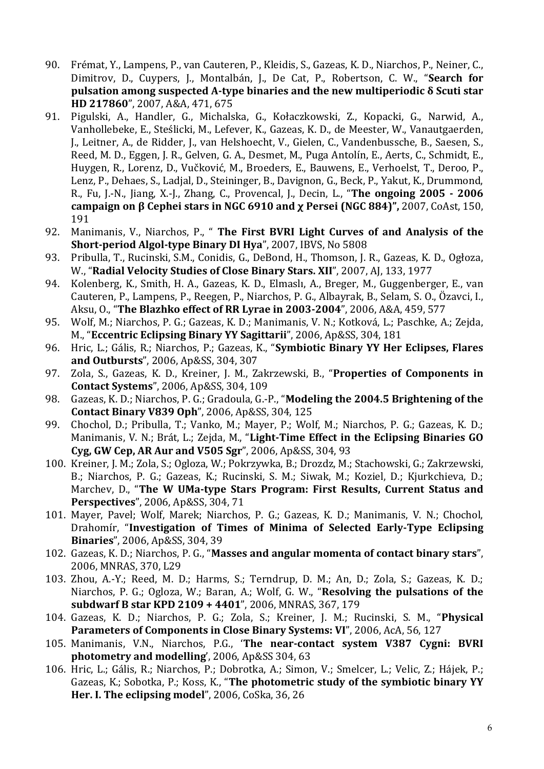- 90. Frémat, Y., Lampens, P., van Cauteren, P., Kleidis, S., Gazeas, K. D., Niarchos, P., Neiner, C., Dimitrov, D., Cuypers, J., Montalbán, J., De Cat, P., Robertson, C. W., "**Search for pulsation among suspected A-type binaries and the new multiperiodic δ Scuti star HD 217860**", 2007, A&A, 471, 675
- 91. Pigulski, A., Handler, G., Michalska, G., Kołaczkowski, Z., Kopacki, G., Narwid, A., Vanhollebeke, E., Steślicki, M., Lefever, K., Gazeas, K. D., de Meester, W., Vanautgaerden, J., Leitner, A., de Ridder, J., van Helshoecht, V., Gielen, C., Vandenbussche, B., Saesen, S., Reed, M. D., Eggen, J. R., Gelven, G. A., Desmet, M., Puga Antolín, E., Aerts, C., Schmidt, E., Huygen, R., Lorenz, D., Vučković, M., Broeders, E., Bauwens, E., Verhoelst, T., Deroo, P., Lenz, P., Dehaes, S., Ladjal, D., Steininger, B., Davignon, G., Beck, P., Yakut, K., Drummond, R., Fu, J.-N., Jiang, X.-J., Zhang, C., Provencal, J., Decin, L., "**The ongoing 2005 - 2006 campaign on β Cephei stars in NGC 6910 and χ Persei (NGC 884)",** 2007, CoAst, 150, 191
- 92. Manimanis, V., Niarchos, P., " **Τhe First BVRI Light Curves of and Analysis of the Short-period Algol-type Binary DI Hya**", 2007, IBVS, No 5808
- 93. Pribulla, T., Rucinski, S.M., Conidis, G., DeBond, H., Thomson, J. R., Gazeas, K. D., Ogłoza, W., "**Radial Velocity Studies of Close Binary Stars. XII**", 2007, AJ, 133, 1977
- 94. Kolenberg, K., Smith, H. A., Gazeas, K. D., Elmaslı, A., Breger, M., Guggenberger, E., van Cauteren, P., Lampens, P., Reegen, P., Niarchos, P. G., Albayrak, B., Selam, S. O., Özavci, I., Aksu, O., "**The Blazhko effect of RR Lyrae in 2003-2004**", 2006, A&A, 459, 577
- 95. Wolf, M.; Niarchos, P. G.; Gazeas, K. D.; Manimanis, V. N.; Kotková, L.; Paschke, A.; Zejda, M., "**Eccentric Eclipsing Binary YY Sagittarii**", 2006, Ap&SS, 304, 181
- 96. Hric, L.; Gális, R.; Niarchos, P.; Gazeas, K., "**Symbiotic Binary YY Her Eclipses, Flares and Outbursts**", 2006, Ap&SS, 304, 307
- 97. Zola, S., Gazeas, K. D., Kreiner, J. M., Zakrzewski, B., "**Properties of Components in Contact Systems**", 2006, Ap&SS, 304, 109
- 98. Gazeas, K. D.; Niarchos, P. G.; Gradoula, G.-P., "**Modeling the 2004.5 Brightening of the Contact Binary V839 Oph**", 2006, Ap&SS, 304, 125
- 99. Chochol, D.; Pribulla, T.; Vanko, M.; Mayer, P.; Wolf, M.; Niarchos, P. G.; Gazeas, K. D.; Manimanis, V. N.; Brát, L.; Zejda, M., "**Light-Time Effect in the Eclipsing Binaries GO Cyg, GW Cep, AR Aur and V505 Sgr**", 2006, Ap&SS, 304, 93
- 100. Kreiner, J. M.; Zola, S.; Ogloza, W.; Pokrzywka, B.; Drozdz, M.; Stachowski, G.; Zakrzewski, B.; Niarchos, P. G.; Gazeas, K.; Rucinski, S. M.; Siwak, M.; Koziel, D.; Kjurkchieva, D.; Marchev, D., "**The W UMa-type Stars Program: First Results, Current Status and Perspectives**", 2006, Ap&SS, 304, 71
- 101. Mayer, Pavel; Wolf, Marek; Niarchos, P. G.; Gazeas, K. D.; Manimanis, V. N.; Chochol, Drahomír, "**Investigation of Times of Minima of Selected Early-Type Eclipsing Binaries**", 2006, Ap&SS, 304, 39
- 102. Gazeas, K. D.; Niarchos, P. G., "**Masses and angular momenta of contact binary stars**", 2006, MNRAS, 370, L29
- 103. Zhou, A.-Y.; Reed, M. D.; Harms, S.; Terndrup, D. M.; An, D.; Zola, S.; Gazeas, K. D.; Niarchos, P. G.; Ogloza, W.; Baran, A.; Wolf, G. W., "**Resolving the pulsations of the subdwarf B star KPD 2109 + 4401**", 2006, MNRAS, 367, 179
- 104. Gazeas, K. D.; Niarchos, P. G.; Zola, S.; Kreiner, J. M.; Rucinski, S. M., "**Physical Parameters of Components in Close Binary Systems: VI**", 2006, AcA, 56, 127
- 105. Manimanis, V.N., Niarchos, P.G., '**The near-contact system V387 Cygni: BVRI photometry and modelling**', 2006, Ap&SS 304, 63
- 106. Hric, L.; Gális, R.; Niarchos, P.; Dobrotka, A.; Simon, V.; Smelcer, L.; Velic, Z.; Hájek, P.; Gazeas, K.; Sobotka, P.; Koss, K., "**The photometric study of the symbiotic binary YY Her. I. The eclipsing model**", 2006, CoSka, 36, 26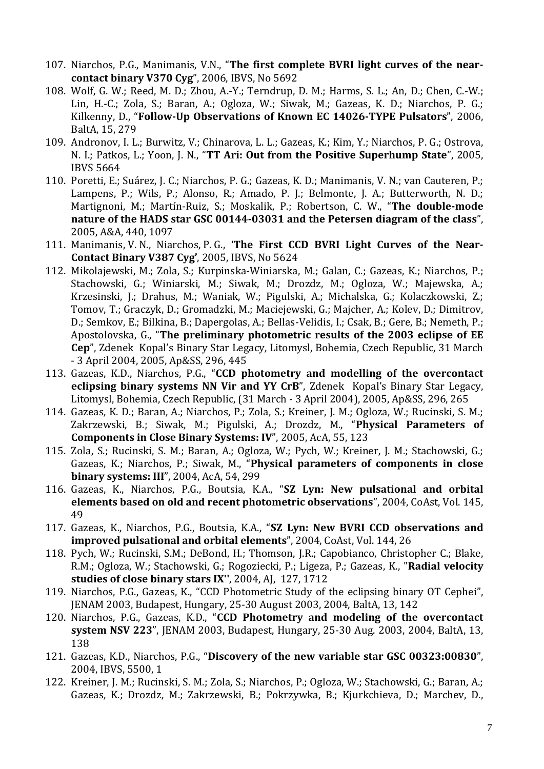- 107. Niarchos, P.G., Manimanis, V.N., "**The first complete BVRI light curves of the nearcontact binary V370 Cyg**", 2006, IBVS, No 5692
- 108. Wolf, G. W.; Reed, M. D.; Zhou, A.-Y.; Terndrup, D. M.; Harms, S. L.; An, D.; Chen, C.-W.; Lin, H.-C.; Zola, S.; Baran, A.; Ogloza, W.; Siwak, M.; Gazeas, K. D.; Niarchos, P. G.; Kilkenny, D., "**Follow-Up Observations of Known EC 14026-TYPE Pulsators**", 2006, BaltA, 15, 279
- 109. Andronov, I. L.; Burwitz, V.; Chinarova, L. L.; Gazeas, K.; Kim, Y.; Niarchos, P. G.; Ostrova, N. I.; Patkos, L.; Yoon, J. N., "**TT Ari: Out from the Positive Superhump State**", 2005, IBVS 5664
- 110. Poretti, E.; Suárez, J. C.; Niarchos, P. G.; Gazeas, K. D.; Manimanis, V. N.; van Cauteren, P.; Lampens, P.; Wils, P.; Alonso, R.; Amado, P. J.; Belmonte, J. A.; Butterworth, N. D.; Martignoni, M.; Martín-Ruiz, S.; Moskalik, P.; Robertson, C. W., "**The double-mode nature of the HADS star GSC 00144-03031 and the Petersen diagram of the class**", 2005, A&A, 440, 1097
- 111. Manimanis, V. N., Niarchos, P. G., '**The First CCD BVRI Light Curves of the Near-Contact Binary V387 Cyg'**, 2005, IBVS, No 5624
- 112. Mikolajewski, M.; Zola, S.; Kurpinska-Winiarska, M.; Galan, C.; Gazeas, K.; Niarchos, P.; Stachowski, G.; Winiarski, M.; Siwak, M.; Drozdz, M.; Ogloza, W.; Majewska, A.; Krzesinski, J.; Drahus, M.; Waniak, W.; Pigulski, A.; Michalska, G.; Kolaczkowski, Z.; Tomov, T.; Graczyk, D.; Gromadzki, M.; Maciejewski, G.; Majcher, A.; Kolev, D.; Dimitrov, D.; Semkov, E.; Bilkina, B.; Dapergolas, A.; Bellas-Velidis, I.; Csak, B.; Gere, B.; Nemeth, P.; Apostolovska, G., "**The preliminary photometric results of the 2003 eclipse of EE Cep**", Zdenek Kopal's Binary Star Legacy, Litomysl, Bohemia, Czech Republic, 31 March - 3 April 2004, 2005, Ap&SS, 296, 445
- 113. Gazeas, K.D., Niarchos, P.G., "**CCD photometry and modelling of the overcontact eclipsing binary systems NN Vir and YY CrB**", Zdenek Kopal's Binary Star Legacy, Litomysl, Bohemia, Czech Republic, (31 March - 3 April 2004), 2005, Ap&SS, 296, 265
- 114. Gazeas, K. D.; Baran, A.; Niarchos, P.; Zola, S.; Kreiner, J. M.; Ogloza, W.; Rucinski, S. M.; Zakrzewski, B.; Siwak, M.; Pigulski, A.; Drozdz, M., "**Physical Parameters of Components in Close Binary Systems: IV**", 2005, AcA, 55, 123
- 115. Zola, S.; Rucinski, S. M.; Baran, A.; Ogloza, W.; Pych, W.; Kreiner, J. M.; Stachowski, G.; Gazeas, K.; Niarchos, P.; Siwak, M., "**Physical parameters of components in close binary systems: III**", 2004, AcA, 54, 299
- 116. Gazeas, K., Niarchos, P.G., Boutsia, K.A., "**SZ Lyn: New pulsational and orbital elements based on old and recent photometric observations**", 2004, CoAst, Vol. 145, 49
- 117. Gazeas, K., Niarchos, P.G., Boutsia, K.A., "**SZ Lyn: New BVRI CCD observations and improved pulsational and orbital elements**", 2004, CoAst, Vol. 144, 26
- 118. Pych, W.; Rucinski, S.M.; DeBond, H.; Thomson, J.R.; Capobianco, Christopher C.; Blake, R.M.; Ogloza, W.; Stachowski, G.; Rogoziecki, P.; Ligeza, P.; Gazeas, K., "**Radial velocity studies of close binary stars IX''**, 2004, AJ, 127, 1712
- 119. Niarchos, P.G., Gazeas, K., "CCD Photometric Study of the eclipsing binary OT Cephei", JENAM 2003, Budapest, Hungary, 25-30 August 2003, 2004, BaltA, 13, 142
- 120. Niarchos, P.G., Gazeas, K.D., "**CCD Photometry and modeling of the overcontact system NSV 223**", JENAM 2003, Budapest, Hungary, 25-30 Aug. 2003, 2004, BaltA, 13, 138
- 121. Gazeas, K.D., Niarchos, P.G., "**Discovery of the new variable star GSC 00323:00830**", 2004, IBVS, 5500, 1
- 122. Kreiner, J. M.; Rucinski, S. M.; Zola, S.; Niarchos, P.; Ogloza, W.; Stachowski, G.; Baran, A.; Gazeas, K.; Drozdz, M.; Zakrzewski, B.; Pokrzywka, B.; Kjurkchieva, D.; Marchev, D.,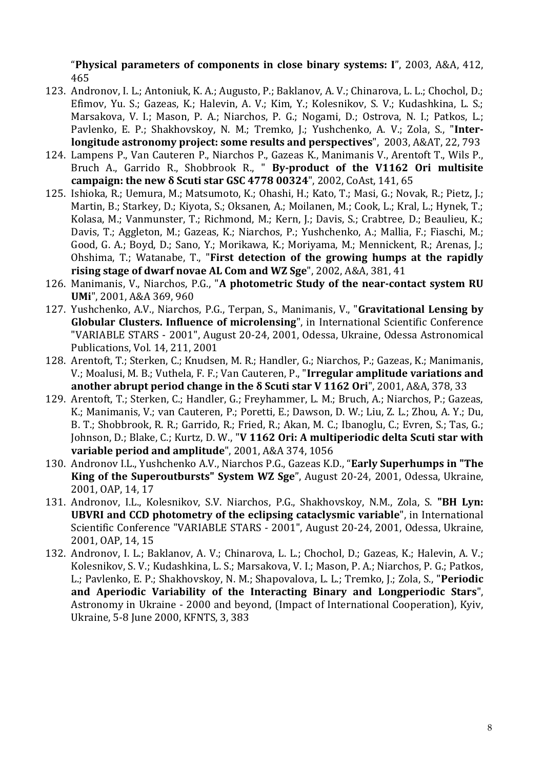"**Physical parameters of components in close binary systems: I**", 2003, A&A, 412, 465

- 123. Andronov, I. L.; Antoniuk, K. A.; Augusto, P.; Baklanov, A. V.; Chinarova, L. L.; Chochol, D.; Efimov, Yu. S.; Gazeas, K.; Halevin, A. V.; Kim, Y.; Kolesnikov, S. V.; Kudashkina, L. S.; Marsakova, V. I.; Mason, P. A.; Niarchos, P. G.; Nogami, D.; Ostrova, N. I.; Patkos, L.; Pavlenko, E. P.; Shakhovskoy, N. M.; Tremko, J.; Yushchenko, A. V.; Zola, S., "**Interlongitude astronomy project: some results and perspectives**", 2003, A&AT, 22, 793
- 124. Lampens P., Van Cauteren P., Niarchos P., Gazeas K., Manimanis V., Arentoft T., Wils P., Bruch A., Garrido R., Shobbrook R., " **By-product of the V1162 Ori multisite campaign: the new δ Scuti star GSC 4778 00324**", 2002, CoAst, 141, 65
- 125. Ishioka, R.; Uemura, M.; Matsumoto, K.; Ohashi, H.; Kato, T.; Masi, G.; Novak, R.; Pietz, J.; Martin, B.; Starkey, D.; Kiyota, S.; Oksanen, A.; Moilanen, M.; Cook, L.; Kral, L.; Hynek, T.; Kolasa, M.; Vanmunster, T.; Richmond, M.; Kern, J.; Davis, S.; Crabtree, D.; Beaulieu, K.; Davis, T.; Aggleton, M.; Gazeas, K.; Niarchos, P.; Yushchenko, A.; Mallia, F.; Fiaschi, M.; Good, G. A.; Boyd, D.; Sano, Y.; Morikawa, K.; Moriyama, M.; Mennickent, R.; Arenas, J.; Ohshima, T.; Watanabe, T., "**First detection of the growing humps at the rapidly rising stage of dwarf novae AL Com and WZ Sge**", 2002, A&A, 381, 41
- 126. Manimanis, V., Niarchos, P.G., "**A photometric Study of the near-contact system RU UMi**", 2001, A&A 369, 960
- 127. Yushchenko, A.V., Niarchos, P.G., Terpan, S., Manimanis, V., "**Gravitational Lensing by Globular Clusters. Influence of microlensing**", in International Scientific Conference "VARIABLE STARS - 2001", August 20-24, 2001, Odessa, Ukraine, Odessa Astronomical Publications, Vol. 14, 211, 2001
- 128. Arentoft, T.; Sterken, C.; Knudsen, M. R.; Handler, G.; Niarchos, P.; Gazeas, K.; Manimanis, V.; Moalusi, M. B.; Vuthela, F. F.; Van Cauteren, P., "**Irregular amplitude variations and another abrupt period change in the δ Scuti star V 1162 Ori**", 2001, A&A, 378, 33
- 129. Arentoft, T.; Sterken, C.; Handler, G.; Freyhammer, L. M.; Bruch, A.; Niarchos, P.; Gazeas, K.; Manimanis, V.; van Cauteren, P.; Poretti, E.; Dawson, D. W.; Liu, Z. L.; Zhou, A. Y.; Du, B. T.; Shobbrook, R. R.; Garrido, R.; Fried, R.; Akan, M. C.; Ibanoglu, C.; Evren, S.; Tas, G.; Johnson, D.; Blake, C.; Kurtz, D. W., "**V 1162 Ori: A multiperiodic delta Scuti star with variable period and amplitude**", 2001, A&A 374, 1056
- 130. Andronov I.L., Yushchenko A.V., Niarchos P.G., Gazeas K.D., "**Early Superhumps in "The King of the Superoutbursts" System WZ Sge**", August 20-24, 2001, Odessa, Ukraine, 2001, OAP, 14, 17
- 131. Andronov, I.L., Kolesnikov, S.V. Niarchos, P.G., Shakhovskoy, N.M., Zola, S. **"BH Lyn: UBVRI and CCD photometry of the eclipsing cataclysmic variable**", in International Scientific Conference "VARIABLE STARS - 2001", August 20-24, 2001, Odessa, Ukraine, 2001, OAP, 14, 15
- 132. Andronov, I. L.; Baklanov, A. V.; Chinarova, L. L.; Chochol, D.; Gazeas, K.; Halevin, A. V.; Kolesnikov, S. V.; Kudashkina, L. S.; Marsakova, V. I.; Mason, P. A.; Niarchos, P. G.; Patkos, L.; Pavlenko, E. P.; Shakhovskoy, N. M.; Shapovalova, L. L.; Tremko, J.; Zola, S., "**Periodic and Aperiodic Variability of the Interacting Binary and Longperiodic Stars**", Astronomy in Ukraine - 2000 and beyond, (Impact of International Cooperation), Kyiv, Ukraine, 5-8 June 2000, KFNTS, 3, 383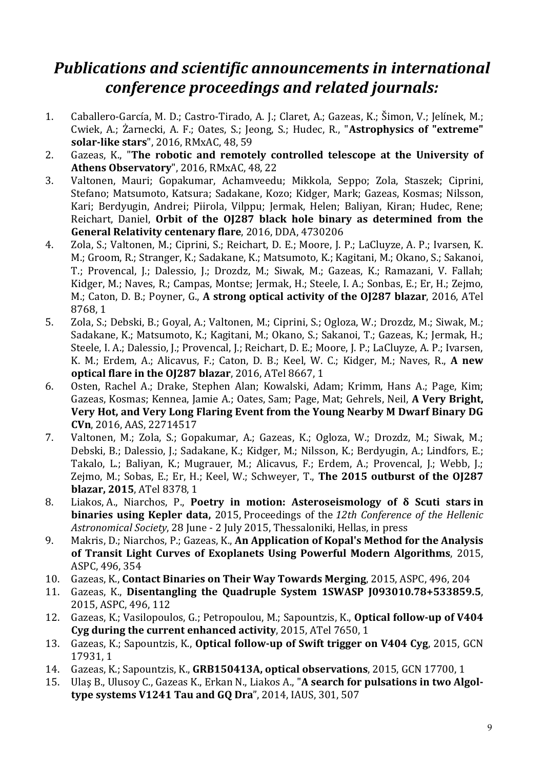## *Publications and scientific announcements in international conference proceedings and related journals:*

- 1. Caballero-García, M. D.; Castro-Tirado, A. J.; Claret, A.; Gazeas, K.; Šimon, V.; Jelínek, M.; Cwiek, A.; Żarnecki, A. F.; Oates, S.; Jeong, S.; Hudec, R., "**Astrophysics of "extreme" solar-like stars**", 2016, RMxAC, 48, 59
- 2. Gazeas, K., "**The robotic and remotely controlled telescope at the University of Athens Observatory**", 2016, RMxAC, 48, 22
- 3. Valtonen, Mauri; Gopakumar, Achamveedu; Mikkola, Seppo; Zola, Staszek; Ciprini, Stefano; Matsumoto, Katsura; Sadakane, Kozo; Kidger, Mark; Gazeas, Kosmas; Nilsson, Kari; Berdyugin, Andrei; Piirola, Vilppu; Jermak, Helen; Baliyan, Kiran; Hudec, Rene; Reichart, Daniel, **Orbit of the OJ287 black hole binary as determined from the General Relativity centenary flare**, 2016, DDA, 4730206
- 4. Zola, S.; Valtonen, M.; Ciprini, S.; Reichart, D. E.; Moore, J. P.; LaCluyze, A. P.; Ivarsen, K. M.; Groom, R.; Stranger, K.; Sadakane, K.; Matsumoto, K.; Kagitani, M.; Okano, S.; Sakanoi, T.; Provencal, J.; Dalessio, J.; Drozdz, M.; Siwak, M.; Gazeas, K.; Ramazani, V. Fallah; Kidger, M.; Naves, R.; Campas, Montse; Jermak, H.; Steele, I. A.; Sonbas, E.; Er, H.; Zejmo, M.; Caton, D. B.; Poyner, G., **A strong optical activity of the OJ287 blazar**, 2016, ATel 8768, 1
- 5. Zola, S.; Debski, B.; Goyal, A.; Valtonen, M.; Ciprini, S.; Ogloza, W.; Drozdz, M.; Siwak, M.; Sadakane, K.; Matsumoto, K.; Kagitani, M.; Okano, S.; Sakanoi, T.; Gazeas, K.; Jermak, H.; Steele, I. A.; Dalessio, J.; Provencal, J.; Reichart, D. E.; Moore, J. P.; LaCluyze, A. P.; Ivarsen, K. M.; Erdem, A.; Alicavus, F.; Caton, D. B.; Keel, W. C.; Kidger, M.; Naves, R., **A new optical flare in the OJ287 blazar**, 2016, ATel 8667, 1
- 6. Osten, Rachel A.; Drake, Stephen Alan; Kowalski, Adam; Krimm, Hans A.; Page, Kim; Gazeas, Kosmas; Kennea, Jamie A.; Oates, Sam; Page, Mat; Gehrels, Neil, **A Very Bright, Very Hot, and Very Long Flaring Event from the Young Nearby M Dwarf Binary DG CVn**, 2016, AAS, 22714517
- 7. Valtonen, M.; Zola, S.; Gopakumar, A.; Gazeas, K.; Ogloza, W.; Drozdz, M.; Siwak, M.; Debski, B.; Dalessio, J.; Sadakane, K.; Kidger, M.; Nilsson, K.; Berdyugin, A.; Lindfors, E.; Takalo, L.; Baliyan, K.; Mugrauer, M.; Alicavus, F.; Erdem, A.; Provencal, J.; Webb, J.; Zejmo, M.; Sobas, E.; Er, H.; Keel, W.; Schweyer, T., **The 2015 outburst of the OJ287 blazar, 2015**, ATel 8378, 1
- 8. Liakos, A., Niarchos, P., **Poetry in motion: Asteroseismology of δ Scuti stars in binaries using Kepler data,** 2015, Proceedings of the *12th Conference of the Hellenic Astronomical Society*, 28 June - 2 July 2015, Thessaloniki, Hellas, in press
- 9. Makris, D.; Niarchos, P.; Gazeas, K., **An Application of Kopal's Method for the Analysis of Transit Light Curves of Exoplanets Using Powerful Modern Algorithms**, 2015, ASPC, 496, 354
- 10. Gazeas, K., **Contact Binaries on Their Way Towards Merging**, 2015, ASPC, 496, 204
- 11. Gazeas, K., **Disentangling the Quadruple System 1SWASP J093010.78+533859.5**, 2015, ASPC, 496, 112
- 12. Gazeas, K.; Vasilopoulos, G.; Petropoulou, M.; Sapountzis, K., **Optical follow-up of V404 Cyg during the current enhanced activity**, 2015, ATel 7650, 1
- 13. Gazeas, K.; Sapountzis, K., **Optical follow-up of Swift trigger on V404 Cyg**, 2015, GCN 17931, 1
- 14. Gazeas, K.; Sapountzis, K., **GRB150413A, optical observations**, 2015, GCN 17700, 1
- 15. Ulaş B., Ulusoy C., Gazeas K., Erkan N., Liakos A., "**A search for pulsations in two Algoltype systems V1241 Tau and GQ Dra**", 2014, IAUS, 301, 507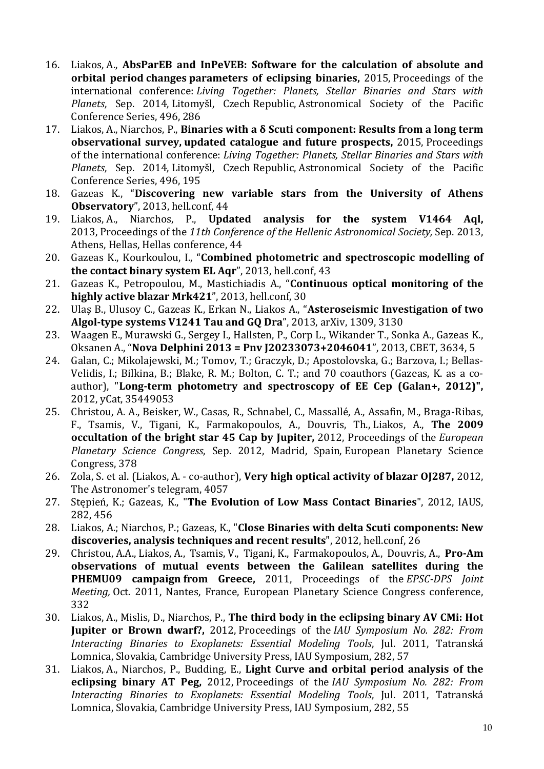- 16. Liakos, A., **AbsParEB and InPeVEB: Software for the calculation of absolute and orbital period changes parameters of eclipsing binaries,** 2015, Proceedings of the international conference: *Living Together: Planets, Stellar Binaries and Stars with Planets*, Sep. 2014, Litomyšl, Czech Republic, Astronomical Society of the Pacific Conference Series, 496, 286
- 17. Liakos, A., Niarchos, P., **Binaries with a δ Scuti component: Results from a long term observational survey, updated catalogue and future prospects,** 2015, Proceedings of the international conference: *Living Together: Planets, Stellar Binaries and Stars with Planets*, Sep. 2014, Litomyšl, Czech Republic, Astronomical Society of the Pacific Conference Series, 496, 195
- 18. Gazeas K., "**Discovering new variable stars from the University of Athens Observatory**", 2013, hell.conf, 44
- 19. Liakos, A., Niarchos, P., **Updated analysis for the system V1464 Aql,** 2013, Proceedings of the *11th Conference of the Hellenic Astronomical Society,* Sep. 2013, Athens, Hellas, Hellas conference, 44
- 20. Gazeas K., Kourkoulou, I., "**Combined photometric and spectroscopic modelling of the contact binary system EL Aqr**", 2013, hell.conf, 43
- 21. Gazeas K., Petropoulou, M., Mastichiadis A., "**Continuous optical monitoring of the highly active blazar Mrk421**", 2013, hell.conf, 30
- 22. Ulaş B., Ulusoy C., Gazeas K., Erkan N., Liakos A., "**Asteroseismic Investigation of two Algol-type systems V1241 Tau and GQ Dra**", 2013, arXiv, 1309, 3130
- 23. Waagen E., Murawski G., Sergey I., Hallsten, P., Corp L., Wikander T., Sonka A., Gazeas K., Oksanen A., "**Nova Delphini 2013 = Pnv J20233073+2046041**", 2013, CBET, 3634, 5
- 24. Galan, C.; Mikolajewski, M.; Tomov, T.; Graczyk, D.; Apostolovska, G.; Barzova, I.; Bellas-Velidis, I.; Bilkina, B.; Blake, R. M.; Bolton, C. T.; and 70 coauthors (Gazeas, K. as a coauthor), "**Long-term photometry and spectroscopy of EE Cep (Galan+, 2012)",** 2012, yCat, 35449053
- 25. Christou, A. A., Beisker, W., Casas, R., Schnabel, C., Massallé, A., Assafin, M., Braga-Ribas, F., Tsamis, V., Tigani, K., Farmakopoulos, A., Douvris, Th., Liakos, A., **The 2009 occultation of the bright star 45 Cap by Jupiter,** 2012, Proceedings of the *European Planetary Science Congress*, Sep. 2012, Madrid, Spain, European Planetary Science Congress, 378
- 26. Zola, S. et al. (Liakos, A. co-author), **Very high optical activity of blazar OJ287,** 2012, The Astronomer's telegram, 4057
- 27. Stępień, K.; Gazeas, K., "**The Evolution of Low Mass Contact Binaries**", 2012, IAUS, 282, 456
- 28. Liakos, A.; Niarchos, P.; Gazeas, K., "**Close Binaries with delta Scuti components: New discoveries, analysis techniques and recent results**", 2012, hell.conf, 26
- 29. Christou, A.A., Liakos, A., Tsamis, V., Tigani, K., Farmakopoulos, A., Douvris, A., **Pro-Am observations of mutual events between the Galilean satellites during the PHEMU09 campaign from Greece,** 2011, Proceedings of the *EPSC-DPS Joint Meeting,* Oct. 2011, Nantes, France, European Planetary Science Congress conference, 332
- 30. Liakos, A., Mislis, D., Niarchos, P., **The third body in the eclipsing binary AV CMi: Hot Jupiter or Brown dwarf?,** 2012, Proceedings of the *IAU Symposium No. 282: From Interacting Binaries to Exoplanets: Essential Modeling Tools*, Jul. 2011, Tatranská Lomnica, Slovakia, Cambridge University Press, IAU Symposium, 282, 57
- 31. Liakos, A., Niarchos, P., Budding, E., **Light Curve and orbital period analysis of the eclipsing binary AT Peg,** 2012, Proceedings of the *IAU Symposium No. 282: From Interacting Binaries to Exoplanets: Essential Modeling Tools*, Jul. 2011, Tatranská Lomnica, Slovakia, Cambridge University Press, IAU Symposium, 282, 55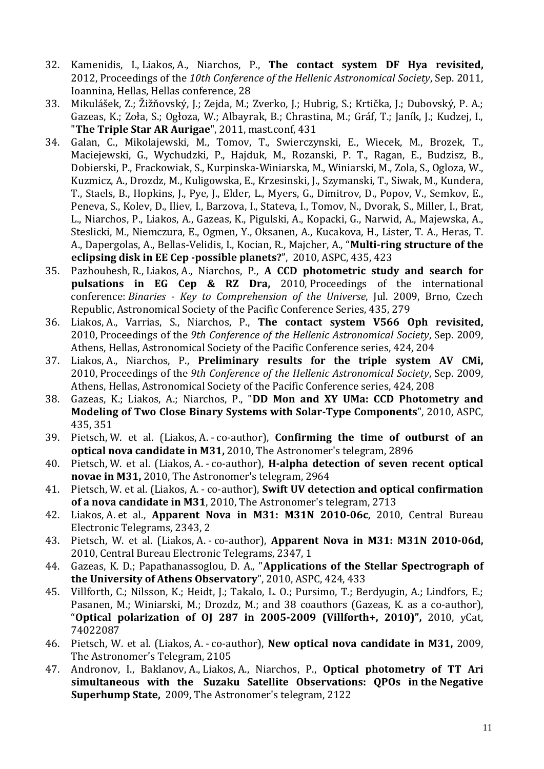- 32. Kamenidis, I., Liakos, A., Niarchos, P., **The contact system DF Hya revisited,** 2012, Proceedings of the *10th Conference of the Hellenic Astronomical Society*, Sep. 2011, Ioannina, Hellas, Hellas conference, 28
- 33. Mikulášek, Z.; Žižňovský, J.; Zejda, M.; Zverko, J.; Hubrig, S.; Krtička, J.; Dubovský, P. A.; Gazeas, K.; Zoła, S.; Ogłoza, W.; Albayrak, B.; Chrastina, M.; Gráf, T.; Janík, J.; Kudzej, I., "**The Triple Star AR Aurigae**", 2011, mast.conf, 431
- 34. Galan, C., Mikolajewski, M., Tomov, T., Swierczynski, E., Wiecek, M., Brozek, T., Maciejewski, G., Wychudzki, P., Hajduk, M., Rozanski, P. T., Ragan, E., Budzisz, B., Dobierski, P., Frackowiak, S., Kurpinska-Winiarska, M., Winiarski, M., Zola, S., Ogloza, W., Kuzmicz, A., Drozdz, M., Kuligowska, E., Krzesinski, J., Szymanski, T., Siwak, M., Kundera, T., Staels, B., Hopkins, J., Pye, J., Elder, L., Myers, G., Dimitrov, D., Popov, V., Semkov, E., Peneva, S., Kolev, D., Iliev, I., Barzova, I., Stateva, I., Tomov, N., Dvorak, S., Miller, I., Brat, L., Niarchos, P., Liakos, A., Gazeas, K., Pigulski, A., Kopacki, G., Narwid, A., Majewska, A., Steslicki, M., Niemczura, E., Ogmen, Y., Oksanen, A., Kucakova, H., Lister, T. A., Heras, T. A., Dapergolas, A., Bellas-Velidis, I., Kocian, R., Majcher, A., "**Multi-ring structure of the eclipsing disk in EE Cep -possible planets?**", 2010, ASPC, 435, 423
- 35. Pazhouhesh, R., Liakos, A., Niarchos, P., **A CCD photometric study and search for pulsations in EG Cep & RZ Dra,** 2010, Proceedings of the international conference: *Binaries - Key to Comprehension of the Universe*, Jul. 2009, Brno, Czech Republic, Astronomical Society of the Pacific Conference Series, 435, 279
- 36. Liakos, A., Varrias, S., Niarchos, P., **The contact system V566 Oph revisited,** 2010, Proceedings of the *9th Conference of the Hellenic Astronomical Society*, Sep. 2009, Athens, Hellas, Astronomical Society of the Pacific Conference series, 424, 204
- 37. Liakos, A., Niarchos, P., **Preliminary results for the triple system AV CMi,** 2010, Proceedings of the *9th Conference of the Hellenic Astronomical Society*, Sep. 2009, Athens, Hellas, Astronomical Society of the Pacific Conference series, 424, 208
- 38. Gazeas, K.; Liakos, A.; Niarchos, P., "**DD Mon and XY UMa: CCD Photometry and Modeling of Two Close Binary Systems with Solar-Type Components**", 2010, ASPC, 435, 351
- 39. Pietsch, W. et al. (Liakos, A. co-author), **Confirming the time of outburst of an optical nova candidate in M31,** 2010, The Astronomer's telegram, 2896
- 40. Pietsch, W. et al. (Liakos, A. co-author), **H-alpha detection of seven recent optical novae in M31,** 2010, The Astronomer's telegram, 2964
- 41. Pietsch, W. et al. (Liakos, A. co-author), **Swift UV detection and optical confirmation of a nova candidate in M31**, 2010, The Astronomer's telegram, 2713
- 42. Liakos, A. et al., **Apparent Nova in M31: M31N 2010-06c**, 2010, Central Bureau Electronic Telegrams, 2343, 2
- 43. Pietsch, W. et al. (Liakos, A. co-author), **Apparent Nova in M31: M31N 2010-06d,** 2010, Central Bureau Electronic Telegrams, 2347, 1
- 44. Gazeas, K. D.; Papathanassoglou, D. A., "**Applications of the Stellar Spectrograph of the University of Athens Observatory**", 2010, ASPC, 424, 433
- 45. Villforth, C.; Nilsson, K.; Heidt, J.; Takalo, L. O.; Pursimo, T.; Berdyugin, A.; Lindfors, E.; Pasanen, M.; Winiarski, M.; Drozdz, M.; and 38 coauthors (Gazeas, K. as a co-author), "**Optical polarization of OJ 287 in 2005-2009 (Villforth+, 2010)",** 2010, yCat, 74022087
- 46. Pietsch, W. et al. (Liakos, A. co-author), **New optical nova candidate in M31,** 2009, The Astronomer's Telegram, 2105
- 47. Andronov, I., Baklanov, A., Liakos, A., Niarchos, P., **Optical photometry of TT Ari simultaneous with the Suzaku Satellite Observations: QPOs in the Negative Superhump State,** 2009, The Astronomer's telegram, 2122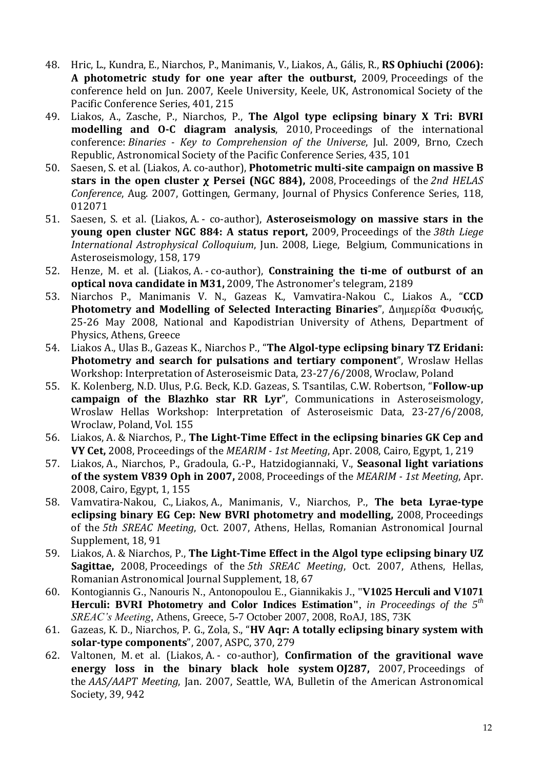- 48. Hric, L., Kundra, E., Niarchos, P., Manimanis, V., Liakos, A., Gális, R., **RS Ophiuchi (2006): A photometric study for one year after the outburst,** 2009, Proceedings of the conference held on Jun. 2007, Keele University, Keele, UK, Astronomical Society of the Pacific Conference Series, 401, 215
- 49. Liakos, A., Zasche, P., Niarchos, P., **The Algol type eclipsing binary X Tri: BVRI modelling and O-C diagram analysis**, 2010, Proceedings of the international conference: *Binaries - Key to Comprehension of the Universe*, Jul. 2009, Brno, Czech Republic, Astronomical Society of the Pacific Conference Series, 435, 101
- 50. Saesen, S. et al. (Liakos, A. co-author), **Photometric multi-site campaign on massive B stars in the open cluster χ Persei (NGC 884),** 2008, Proceedings of the *2nd HELAS Conference*, Aug. 2007, Gottingen, Germany, Journal of Physics Conference Series, 118, 012071
- 51. Saesen, S. et al. (Liakos, A. co-author), **Asteroseismology on massive stars in the young open cluster NGC 884: A status report,** 2009, Proceedings of the *38th Liege International Astrophysical Colloquium*, Jun. 2008, Liege, Belgium, Communications in Asteroseismology, 158, 179
- 52. Henze, M. et al. (Liakos, A. co-author), **Constraining the ti-me of outburst of an optical nova candidate in M31,** 2009, The Astronomer's telegram, 2189
- 53. Niarchos P., Manimanis V. N., Gazeas K., Vamvatira-Nakou C., Liakos A., "**CCD Photometry and Modelling of Selected Interacting Binaries**", Διημερίδα Φυσικής, 25-26 May 2008, National and Kapodistrian University of Athens, Department of Physics, Athens, Greece
- 54. Liakos A., Ulas B., Gazeas K., Niarchos P., "**The Algol-type eclipsing binary TZ Eridani: Photometry and search for pulsations and tertiary component**", Wroslaw Hellas Workshop: Interpretation of Asteroseismic Data, 23-27/6/2008, Wroclaw, Poland
- 55. K. Kolenberg, N.D. Ulus, P.G. Beck, K.D. Gazeas, S. Tsantilas, C.W. Robertson, "**Follow-up campaign of the Blazhko star RR Lyr**", Communications in Asteroseismology, Wroslaw Hellas Workshop: Interpretation of Asteroseismic Data, 23-27/6/2008, Wroclaw, Poland, Vol. 155
- 56. Liakos, A. & Niarchos, P., **The Light-Time Effect in the eclipsing binaries GK Cep and VY Cet,** 2008, Proceedings of the *MEARIM - 1st Meeting*, Apr. 2008, Cairo, Egypt, 1, 219
- 57. Liakos, A., Niarchos, P., Gradoula, G.-P., Hatzidogiannaki, V., **Seasonal light variations of the system V839 Oph in 2007,** 2008, Proceedings of the *MEARIM - 1st Meeting*, Apr. 2008, Cairo, Egypt, 1, 155
- 58. Vamvatira-Nakou, C., Liakos, A., Manimanis, V., Niarchos, P., **The beta Lyrae-type eclipsing binary EG Cep: New BVRI photometry and modelling,** 2008, Proceedings of the *5th SREAC Meeting*, Oct. 2007, Athens, Hellas, Romanian Astronomical Journal Supplement, 18, 91
- 59. Liakos, A. & Niarchos, P., **The Light-Time Effect in the Algol type eclipsing binary UZ Sagittae,** 2008, Proceedings of the *5th SREAC Meeting*, Oct. 2007, Athens, Hellas, Romanian Astronomical Journal Supplement, 18, 67
- 60. Kontogiannis G., Nanouris N., Antonopoulou E., Giannikakis J., "**V1025 Herculi and V1071 Herculi: BVRI Photometry and Color Indices Estimation"**, *in Proceedings of the 5th SREAC's Meeting*, Athens, Greece, 5-7 October 2007, 2008, RoAJ, 18S, 73K
- 61. Gazeas, K. D., Niarchos, P. G., Zola, S., "**HV Aqr: A totally eclipsing binary system with solar-type components**", 2007, ASPC, 370, 279
- 62. Valtonen, M. et al. (Liakos, A. co-author), **Confirmation of the gravitional wave energy loss in the binary black hole system OJ287,** 2007, Proceedings of the *AAS/AAPT Meeting*, Jan. 2007, Seattle, WA, Bulletin of the American Astronomical Society, 39, 942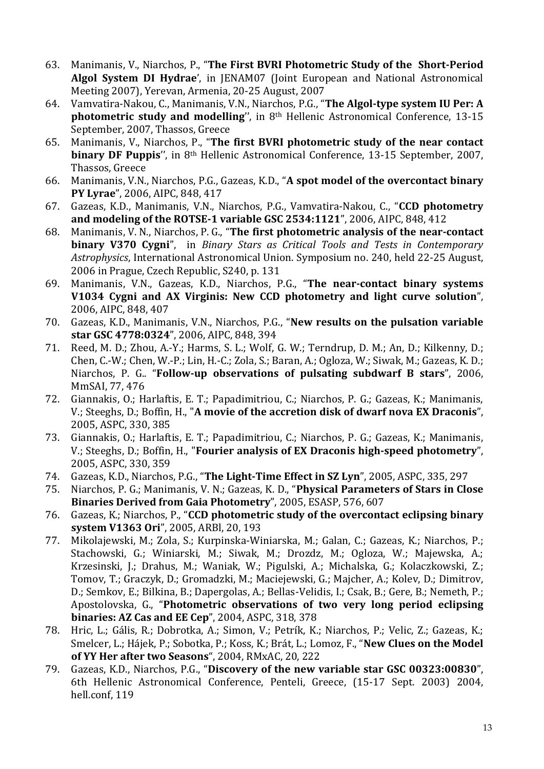- 63. Manimanis, V., Niarchos, P., "**The First BVRI Photometric Study of the Short-Period Algol System DI Hydrae**', in JENAM07 (Joint European and National Astronomical Meeting 2007), Yerevan, Armenia, 20-25 August, 2007
- 64. Vamvatira-Nakou, C., Manimanis, V.N., Niarchos, P.G., "**The Algol-type system IU Per: A photometric study and modelling**", in 8<sup>th</sup> Hellenic Astronomical Conference, 13-15 September, 2007, Thassos, Greece
- 65. Manimanis, V., Niarchos, P., "**The first BVRI photometric study of the near contact binary DF Puppis**'', in 8th Hellenic Astronomical Conference, 13-15 September, 2007, Thassos, Greece
- 66. Manimanis, V.N., Niarchos, P.G., Gazeas, K.D., "**A spot model of the overcontact binary PY Lyrae**", 2006, AIPC, 848, 417
- 67. Gazeas, K.D., Manimanis, V.N., Niarchos, P.G., Vamvatira-Nakou, C., "**CCD photometry and modeling of the ROTSE-1 variable GSC 2534:1121**", 2006, AIPC, 848, 412
- 68. Manimanis, V. N., Niarchos, P. G., "**The first photometric analysis of the near-contact binary V370 Cygni**", in *Binary Stars as Critical Tools and Tests in Contemporary Astrophysics*, International Astronomical Union. Symposium no. 240, held 22-25 August, 2006 in Prague, Czech Republic, S240, p. 131
- 69. Manimanis, V.N., Gazeas, K.D., Niarchos, P.G., "**The near-contact binary systems V1034 Cygni and AX Virginis: New CCD photometry and light curve solution**", 2006, AIPC, 848, 407
- 70. Gazeas, K.D., Manimanis, V.N., Niarchos, P.G., "**New results on the pulsation variable star GSC 4778:0324**", 2006, AIPC, 848, 394
- 71. Reed, M. D.; Zhou, A.-Y.; Harms, S. L.; Wolf, G. W.; Terndrup, D. M.; An, D.; Kilkenny, D.; Chen, C.-W.; Chen, W.-P.; Lin, H.-C.; Zola, S.; Baran, A.; Ogloza, W.; Siwak, M.; Gazeas, K. D.; Niarchos, P. G.. "**Follow-up observations of pulsating subdwarf B stars**", 2006, MmSAI, 77, 476
- 72. Giannakis, O.; Harlaftis, E. T.; Papadimitriou, C.; Niarchos, P. G.; Gazeas, K.; Manimanis, V.; Steeghs, D.; Boffin, H., "**A movie of the accretion disk of dwarf nova EX Draconis**", 2005, ASPC, 330, 385
- 73. Giannakis, O.; Harlaftis, E. T.; Papadimitriou, C.; Niarchos, P. G.; Gazeas, K.; Manimanis, V.; Steeghs, D.; Boffin, H., "**Fourier analysis of EX Draconis high-speed photometry**", 2005, ASPC, 330, 359
- 74. Gazeas, K.D., Niarchos, P.G., "**The Light-Time Effect in SZ Lyn**", 2005, ASPC, 335, 297
- 75. Niarchos, P. G.; Manimanis, V. N.; Gazeas, K. D., "**Physical Parameters of Stars in Close Binaries Derived from Gaia Photometry**", 2005, ESASP, 576, 607
- 76. Gazeas, K.; Niarchos, P., "**CCD photometric study of the overcontact eclipsing binary system V1363 Ori**", 2005, ARBl, 20, 193
- 77. Mikolajewski, M.; Zola, S.; Kurpinska-Winiarska, M.; Galan, C.; Gazeas, K.; Niarchos, P.; Stachowski, G.; Winiarski, M.; Siwak, M.; Drozdz, M.; Ogloza, W.; Majewska, A.; Krzesinski, J.; Drahus, M.; Waniak, W.; Pigulski, A.; Michalska, G.; Kolaczkowski, Z.; Tomov, T.; Graczyk, D.; Gromadzki, M.; Maciejewski, G.; Majcher, A.; Kolev, D.; Dimitrov, D.; Semkov, E.; Bilkina, B.; Dapergolas, A.; Bellas-Velidis, I.; Csak, B.; Gere, B.; Nemeth, P.; Apostolovska, G., "**Photometric observations of two very long period eclipsing binaries: AZ Cas and EE Cep**", 2004, ASPC, 318, 378
- 78. Hric, L.; Gális, R.; Dobrotka, A.; Simon, V.; Petrík, K.; Niarchos, P.; Velic, Z.; Gazeas, K.; Smelcer, L.; Hájek, P.; Sobotka, P.; Koss, K.; Brát, L.; Lomoz, F., "**New Clues on the Model of YY Her after two Seasons**", 2004, RMxAC, 20, 222
- 79. Gazeas, K.D., Niarchos, P.G., "**Discovery of the new variable star GSC 00323:00830**", 6th Hellenic Astronomical Conference, Penteli, Greece, (15-17 Sept. 2003) 2004, hell.conf, 119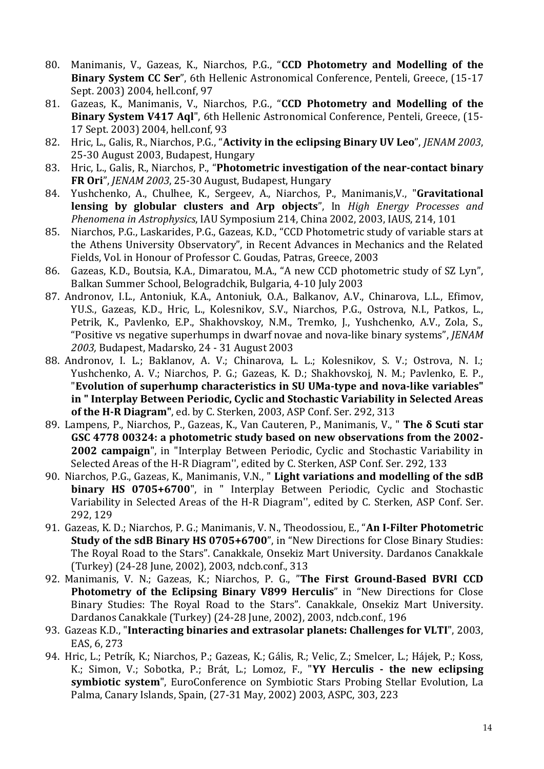- 80. Manimanis, V., Gazeas, K., Niarchos, P.G., "**CCD Photometry and Modelling of the Binary System CC Ser**", 6th Hellenic Astronomical Conference, Penteli, Greece, (15-17 Sept. 2003) 2004, hell.conf, 97
- 81. Gazeas, K., Manimanis, V., Niarchos, P.G., "**CCD Photometry and Modelling of the Binary System V417 Aql**", 6th Hellenic Astronomical Conference, Penteli, Greece, (15- 17 Sept. 2003) 2004, hell.conf, 93
- 82. Hric, L., Galis, R., Niarchos, P.G., "**Activity in the eclipsing Binary UV Leo**", *JENAM 2003*, 25-30 August 2003, Budapest, Hungary
- 83. Hric, L., Galis, R., Niarchos, P., "**Photometric investigation of the near-contact binary FR Ori**", *JENAM 2003*, 25-30 August, Budapest, Hungary
- 84. Yushchenko, A., Chulhee, K., Sergeev, A., Niarchos, P., Manimanis,V., "**Gravitational lensing by globular clusters and Arp objects**", In *High Energy Processes and Phenomena in Astrophysics*, IAU Symposium 214, China 2002, 2003, IAUS, 214, 101
- 85. Niarchos, P.G., Laskarides, P.G., Gazeas, K.D., "CCD Photometric study of variable stars at the Athens University Observatory", in Recent Advances in Mechanics and the Related Fields, Vol. in Honour of Professor C. Goudas, Patras, Greece, 2003
- 86. Gazeas, K.D., Boutsia, K.A., Dimaratou, M.A., "A new CCD photometric study of SZ Lyn", Balkan Summer School, Belogradchik, Bulgaria, 4-10 July 2003
- 87. Andronov, I.L., Antoniuk, K.A., Antoniuk, O.A., Balkanov, A.V., Chinarova, L.L., Efimov, YU.S., Gazeas, K.D., Hric, L., Kolesnikov, S.V., Niarchos, P.G., Ostrova, N.I., Patkos, L., Petrik, K., Pavlenko, E.P., Shakhovskoy, N.M., Tremko, J., Yushchenko, A.V., Zola, S., "Positive vs negative superhumps in dwarf novae and nova-like binary systems", *JENAM 2003,* Budapest, Madarsko*,* 24 - 31 August 2003
- 88. Andronov, I. L.; Baklanov, A. V.; Chinarova, L. L.; Kolesnikov, S. V.; Ostrova, N. I.; Yushchenko, A. V.; Niarchos, P. G.; Gazeas, K. D.; Shakhovskoj, N. M.; Pavlenko, E. P., "**Evolution of superhump characteristics in SU UMa-type and nova-like variables" in " Interplay Between Periodic, Cyclic and Stochastic Variability in Selected Areas of the H-R Diagram"**, ed. by C. Sterken, 2003, ASP Conf. Ser. 292, 313
- 89. Lampens, P., Niarchos, P., Gazeas, K., Van Cauteren, P., Manimanis, V., " **The δ Scuti star GSC 4778 00324: a photometric study based on new observations from the 2002- 2002 campaign**", in "Interplay Between Periodic, Cyclic and Stochastic Variability in Selected Areas of the H-R Diagram'', edited by C. Sterken, ASP Conf. Ser. 292, 133
- 90. Niarchos, P.G., Gazeas, K., Manimanis, V.N., " **Light variations and modelling of the sdB binary HS 0705+6700**", in " Interplay Between Periodic, Cyclic and Stochastic Variability in Selected Areas of the H-R Diagram'', edited by C. Sterken, ASP Conf. Ser. 292, 129
- 91. Gazeas, K. D.; Niarchos, P. G.; Manimanis, V. N., Theodossiou, E., "**An I-Filter Photometric Study of the sdB Binary HS 0705+6700**", in "New Directions for Close Binary Studies: The Royal Road to the Stars". Canakkale, Onsekiz Mart University. Dardanos Canakkale (Turkey) (24-28 June, 2002), 2003, ndcb.conf., 313
- 92. Manimanis, V. N.; Gazeas, K.; Niarchos, P. G., "**The First Ground-Based BVRI CCD Photometry of the Eclipsing Binary V899 Herculis**" in "New Directions for Close Binary Studies: The Royal Road to the Stars". Canakkale, Onsekiz Mart University. Dardanos Canakkale (Turkey) (24-28 June, 2002), 2003, ndcb.conf., 196
- 93. Gazeas K.D., "**Interacting binaries and extrasolar planets: Challenges for VLTI**", 2003, EAS, 6, 273
- 94. Hric, L.; Petrík, K.; Niarchos, P.; Gazeas, K.; Gális, R.; Velic, Z.; Smelcer, L.; Hájek, P.; Koss, K.; Simon, V.; Sobotka, P.; Brát, L.; Lomoz, F., "**YY Herculis - the new eclipsing symbiotic system**", EuroConference on Symbiotic Stars Probing Stellar Evolution, La Palma, Canary Islands, Spain, (27-31 May, 2002) 2003, ASPC, 303, 223